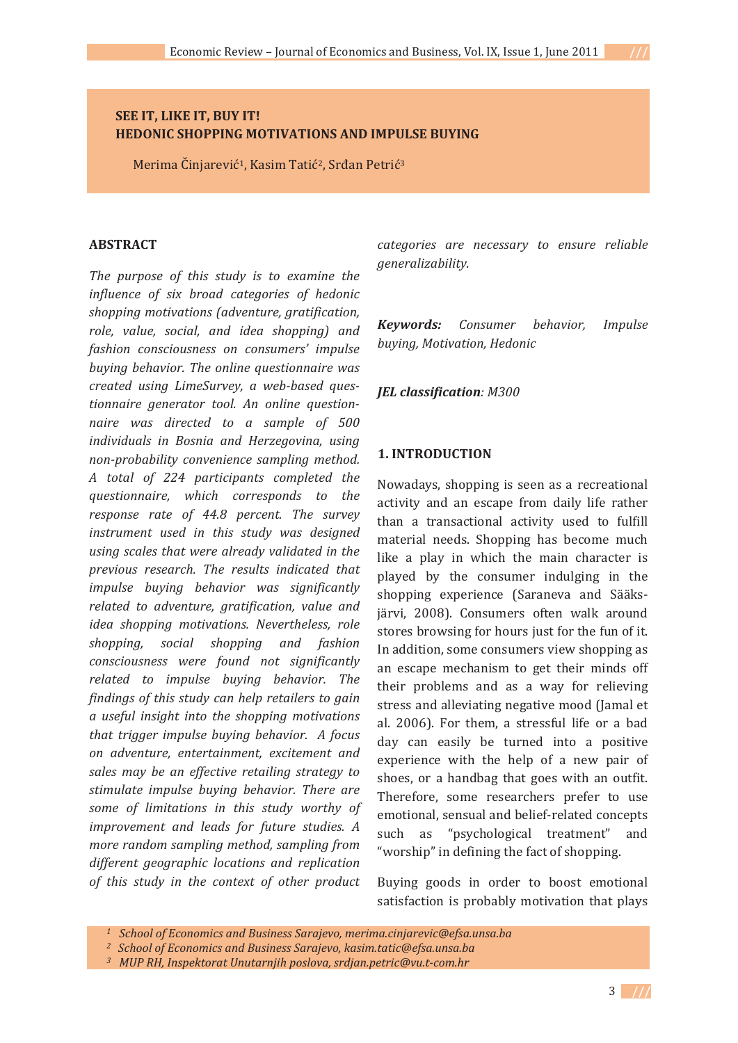# **SEE IT, LIKE IT, BUY IT! HEDONIC SHOPPING MOTIVATIONS AND IMPULSE BUYING**

Merima Činjarević<sup>1</sup>, Kasim Tatić<sup>2</sup>, Srđan Petrić<sup>3</sup>

#### **ABSTRACT-**

*The purpose of this study is to examine the* influence of six broad categories of hedonic *shopping-motivations-(adventure,-gratification,* role, value, social, and idea shopping) and fashion consciousness on consumers' impulse *buying- behavior.-The- online- questionnaire-was* created using LimeSurvey, a web-based ques*tionnaire- generator- tool.- An- online- question naire* was directed to a sample of 500 individuals in Bosnia and Herzegovina, using *non-probability convenience sampling method. A- total- of- 224- participants- completed- the questionnaire,- which- corresponds- to- the response- rate- of- 44.8- percent. The- survey* instrument used in this study was designed *using-scales- that-were-already-validated-in- the previous- research.- The- results- indicated- that impulse- buying- behavior- was- significantly related- to- adventure,- gratification,- value- and* idea shopping motivations. Nevertheless, role *shopping,- social- shopping- and- fashion consciousness- were- found- not- significantly related- to- impulse- buying- behavior.- The findings-of-this-study-can-help-retailers-to-gain a- useful- insight- into- the- shopping- motivations that- trigger-impulse- buying- behavior.- - A-focus on- adventure,- entertainment,- excitement- and* sales may be an effective retailing strategy to stimulate impulse buying behavior. There are *some- of- limitations- in- this- study- worthy- of* improvement and leads for future studies. A *more-random-sampling-method,-sampling-from different- geographic- locations- and- replication of- this- study- in- the- context- of- other- product-*

*categories- are- necessary- to- ensure- reliable generalizability.-*

*Keywords:- Consumer behavior,- Impulse buying,-Motivation,-Hedonic-*

# *JEL-classification:-M300*

#### 1. **INTRODUCTION**

Nowadays, shopping is seen as a recreational activity and an escape from daily life rather delivity and an escape from darly me rather<br>than a transactional activity used to fulfill material needs. Shopping has become much material needs. Shopping has become much<br>like a play in which the main character is have a play in which the main enaracter is<br>played by the consumer indulging in the shopping experience (Saraneva and Sääksshopping experience (suraneva and salars) stores browsing for hours just for the fun of it. stores browsing for nours just for the run of the<br>In addition, some consumers view shopping as an escape mechanism to get their minds off an escape mechanism to get their minas on<br>their problems and as a way for relieving end problems and as a way for renewing<br>stress and alleviating negative mood (Jamal et stress and aneviating negative mood gamaret<br>al. 2006). For them, a stressful life or a bad  $\frac{du}{dx}$  can easily be turned into a positive  $\frac{1}{2}$  can cash, be tanned mid a positive experience with the help of a new pair of shoes, or a handbag that goes with an outfit. shoes, or a nanasage that goes with an outfit.<br>Therefore, some researchers prefer to use emotional, sensual and belief-related concepts such as "psychological treatment"  $rac{1}{2}$  $\frac{1}{2}$  and  $\frac{1}{2}$  is psychological. It called the fact of shopping.

Buying goods in order to boost emotional satisfaction is probably motivation that plays

 *<sup>1-</sup>--School-of-Economics-and-Business-Sarajevo,-merima.cinjarevic@efsa.unsa.ba*

 *<sup>2-</sup>--School-of-Economics-and-Business-Sarajevo,-kasim.tatic@efsa.unsa.ba*

<sup>&</sup>lt;sup>3</sup> MUP RH, Inspektorat Unutarnjih poslova, srdjan.petric@vu.t-com.hr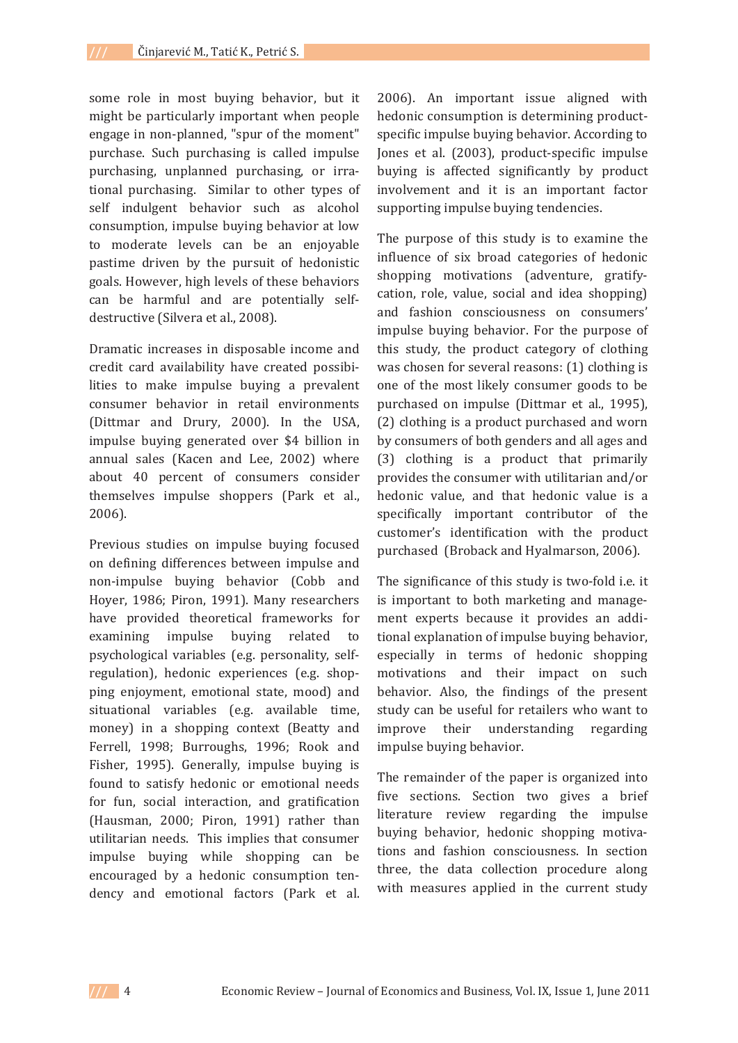some role in most buying behavior, but it might be particularly important when people engage in non-planned, "spur of the moment" purchase. Such purchasing is called impulse purchasing, unplanned purchasing, or irrational purchasing. Similar to other types of self indulgent behavior such as alcohol consumption, impulse buving behavior at low to moderate levels can be an enjoyable pastime driven by the pursuit of hedonistic goals. However, high levels of these behaviors can be harmful and are potentially selfdestructive (Silvera et al., 2008).

Dramatic increases in disposable income and credit card availability have created possibilities to make impulse buying a prevalent consumer behavior in retail environments (Dittmar and Drury, 2000). In the USA, impulse buying generated over \$4 billion in annual sales (Kacen and Lee, 2002) where about 40 percent of consumers consider themselves impulse shoppers (Park et al.,  $2006$ ).

Previous studies on impulse buying focused on defining differences between impulse and non-impulse buying behavior (Cobb and Hoyer, 1986; Piron, 1991). Many researchers have provided theoretical frameworks for examining impulse buying related  $t_0$ psychological variables (e.g. personality, selfregulation), hedonic experiences (e.g. shopping enjoyment, emotional state, mood) and situational variables (e.g. available time, money) in a shopping context (Beatty and Ferrell, 1998; Burroughs, 1996; Rook and Fisher, 1995). Generally, impulse buying is found to satisfy hedonic or emotional needs for fun, social interaction, and gratification (Hausman, 2000; Piron, 1991) rather than utilitarian needs. This implies that consumer impulse buying while shopping can be encouraged by a hedonic consumption tendency and emotional factors (Park et al.

2006). An important issue aligned with hedonic consumption is determining productspecific impulse buying behavior. According to Jones et al. (2003), product-specific impulse buying is affected significantly by product involvement and it is an important factor supporting impulse buying tendencies.

The purpose of this study is to examine the influence of six broad categories of hedonic shopping motivations (adventure, gratifycation, role, value, social and idea shopping) and fashion consciousness on consumers' impulse buying behavior. For the purpose of this study, the product category of clothing was chosen for several reasons: (1) clothing is one of the most likely consumer goods to be purchased on impulse (Dittmar et al., 1995), (2) clothing is a product purchased and worn by consumers of both genders and all ages and (3) clothing is a product that primarily provides the consumer with utilitarian and/or hedonic value, and that hedonic value is a specifically important contributor of the customer's identification with the product purchased (Broback and Hyalmarson, 2006).

The significance of this study is two-fold i.e. it is important to both marketing and management experts because it provides an additional explanation of impulse buying behavior, especially in terms of hedonic shopping motivations and their impact on such behavior. Also, the findings of the present study can be useful for retailers who want to improve their understanding regarding impulse buying behavior.

The remainder of the paper is organized into five sections. Section two gives a brief literature review regarding the impulse buving behavior, hedonic shopping motivations and fashion consciousness. In section three, the data collection procedure along with measures applied in the current study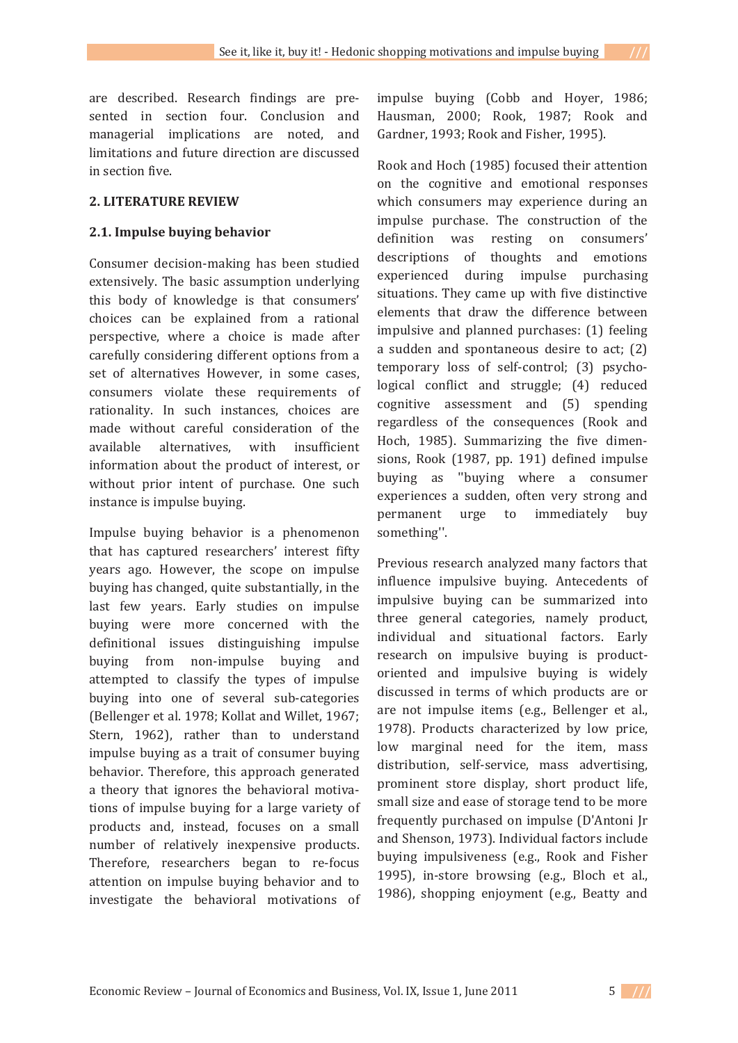are described. Research findings are presented in section four. Conclusion and managerial implications are noted, and limitations and future direction are discussed in section five.

### **2. LITERATURE REVIEW**

## 2.1. Impulse buying behavior

Consumer decision-making has been studied extensively. The basic assumption underlying this body of knowledge is that consumers' choices can be explained from a rational perspective, where a choice is made after carefully considering different options from a set of alternatives However, in some cases, consumers violate these requirements of rationality. In such instances, choices are made without careful consideration of the available alternatives, with insufficient information about the product of interest, or without prior intent of purchase. One such instance is impulse buying.

Impulse buying behavior is a phenomenon that has captured researchers' interest fifty years ago. However, the scope on impulse buying has changed, quite substantially, in the last few years. Early studies on impulse buying were more concerned with the definitional issues distinguishing impulse buying from non-impulse buying and attempted to classify the types of impulse buying into one of several sub-categories (Bellenger et al. 1978; Kollat and Willet, 1967; Stern, 1962), rather than to understand impulse buying as a trait of consumer buying behavior. Therefore, this approach generated a theory that ignores the behavioral motivations of impulse buying for a large variety of products and, instead, focuses on a small number of relatively inexpensive products. Therefore, researchers began to re-focus attention on impulse buying behavior and to investigate the behavioral motivations of impulse buying (Cobb and Hoyer, 1986; Hausman, 2000; Rook, 1987; Rook and Gardner, 1993; Rook and Fisher, 1995).

Rook and Hoch (1985) focused their attention on the cognitive and emotional responses which consumers may experience during an impulse purchase. The construction of the definition was resting on consumers' descriptions of thoughts and emotions experienced during impulse purchasing situations. They came up with five distinctive elements that draw the difference between impulsive and planned purchases: (1) feeling a sudden and spontaneous desire to act; (2) temporary loss of self-control; (3) psychological conflict and struggle; (4) reduced cognitive assessment and (5) spending regardless of the consequences (Rook and Hoch, 1985). Summarizing the five dimensions, Rook (1987, pp. 191) defined impulse buying as "buying where a consumer experiences a sudden, often very strong and immediately permanent urge to buy something".

Previous research analyzed many factors that influence impulsive buying. Antecedents of impulsive buying can be summarized into three general categories, namely product, individual and situational factors. Early research on impulsive buying is productoriented and impulsive buying is widely discussed in terms of which products are or are not impulse items (e.g., Bellenger et al., 1978). Products characterized by low price, low marginal need for the item, mass distribution, self-service, mass advertising, prominent store display, short product life, small size and ease of storage tend to be more frequently purchased on impulse (D'Antoni Jr. and Shenson, 1973). Individual factors include buying impulsiveness (e.g., Rook and Fisher 1995), in-store browsing (e.g., Bloch et al., 1986), shopping enjoyment (e.g., Beatty and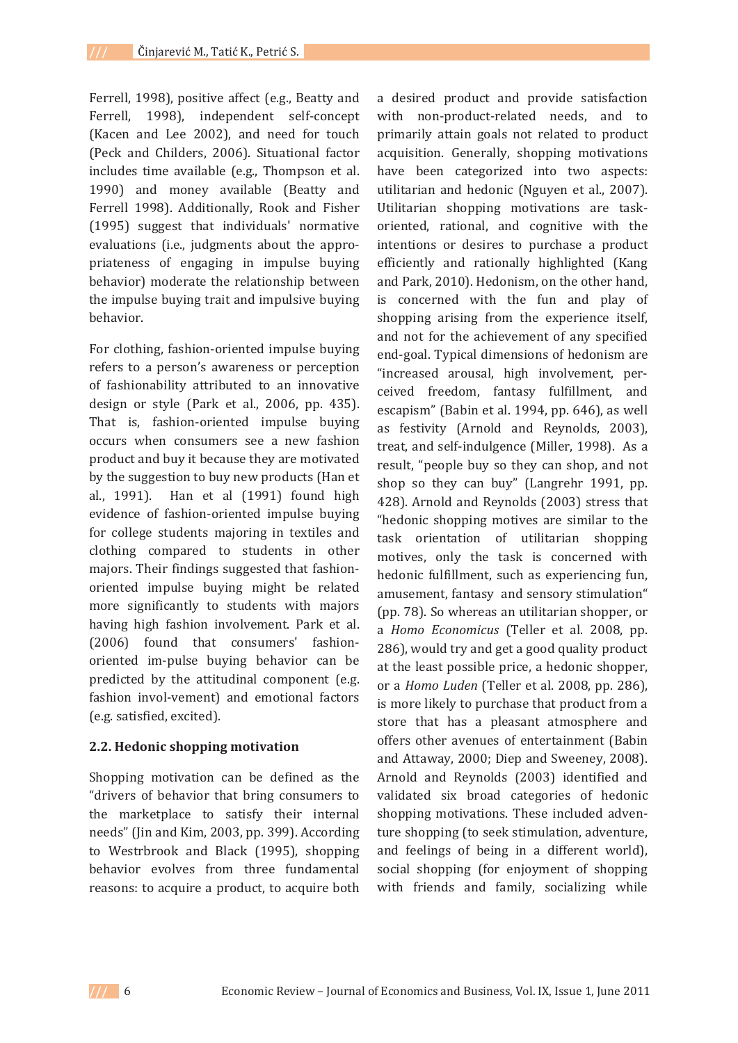Ferrell, 1998), positive affect (e.g., Beatty and Ferrell, 1998), independent self-concept (Kacen and Lee 2002), and need for touch (Peck and Childers, 2006). Situational factor includes time available (e.g., Thompson et al. 1990) and money available (Beatty and Ferrell 1998). Additionally, Rook and Fisher (1995) suggest that individuals' normative evaluations (i.e., judgments about the appropriateness of engaging in impulse buying behavior) moderate the relationship between the impulse buying trait and impulsive buying behavior.

For clothing, fashion-oriented impulse buying refers to a person's awareness or perception of fashionability attributed to an innovative design or style (Park et al., 2006, pp. 435). That is, fashion-oriented impulse buying occurs when consumers see a new fashion product and buy it because they are motivated by the suggestion to buy new products (Han et al., 1991). Han et al (1991) found high evidence of fashion-oriented impulse buying for college students majoring in textiles and clothing compared to students in other majors. Their findings suggested that fashionoriented impulse buying might be related more significantly to students with majors having high fashion involvement. Park et al. (2006) found that consumers' fashionoriented im-pulse buying behavior can be predicted by the attitudinal component (e.g. fashion invol-vement) and emotional factors (e.g. satisfied, excited).

### 2.2. Hedonic shopping motivation

Shopping motivation can be defined as the "drivers of behavior that bring consumers to the marketplace to satisfy their internal needs" (Jin and Kim, 2003, pp. 399). According to Westrbrook and Black (1995), shopping behavior evolves from three fundamental reasons: to acquire a product, to acquire both a desired product and provide satisfaction with non-product-related needs, and to primarily attain goals not related to product acquisition. Generally, shopping motivations have been categorized into two aspects: utilitarian and hedonic (Nguyen et al., 2007). Utilitarian shopping motivations are taskoriented, rational, and cognitive with the intentions or desires to purchase a product efficiently and rationally highlighted (Kang and Park, 2010). Hedonism, on the other hand, is concerned with the fun and play of shopping arising from the experience itself, and not for the achievement of any specified end-goal. Typical dimensions of hedonism are "increased arousal, high involvement, perceived freedom, fantasy fulfillment, and escapism" (Babin et al. 1994, pp. 646), as well as festivity (Arnold and Reynolds, 2003), treat, and self-indulgence (Miller, 1998). As a result, "people buy so they can shop, and not shop so they can buy" (Langrehr 1991, pp. 428). Arnold and Reynolds (2003) stress that "hedonic shopping motives are similar to the task orientation of utilitarian shopping motives, only the task is concerned with hedonic fulfillment, such as experiencing fun, amusement, fantasy and sensory stimulation" (pp. 78). So whereas an utilitarian shopper, or a Homo Economicus (Teller et al. 2008, pp. 286), would try and get a good quality product at the least possible price, a hedonic shopper, or a *Homo Luden* (Teller et al. 2008, pp. 286). is more likely to purchase that product from a store that has a pleasant atmosphere and offers other avenues of entertainment (Babin and Attaway, 2000; Diep and Sweeney, 2008). Arnold and Reynolds (2003) identified and validated six broad categories of hedonic shopping motivations. These included adventure shopping (to seek stimulation, adventure, and feelings of being in a different world), social shopping (for enjoyment of shopping with friends and family, socializing while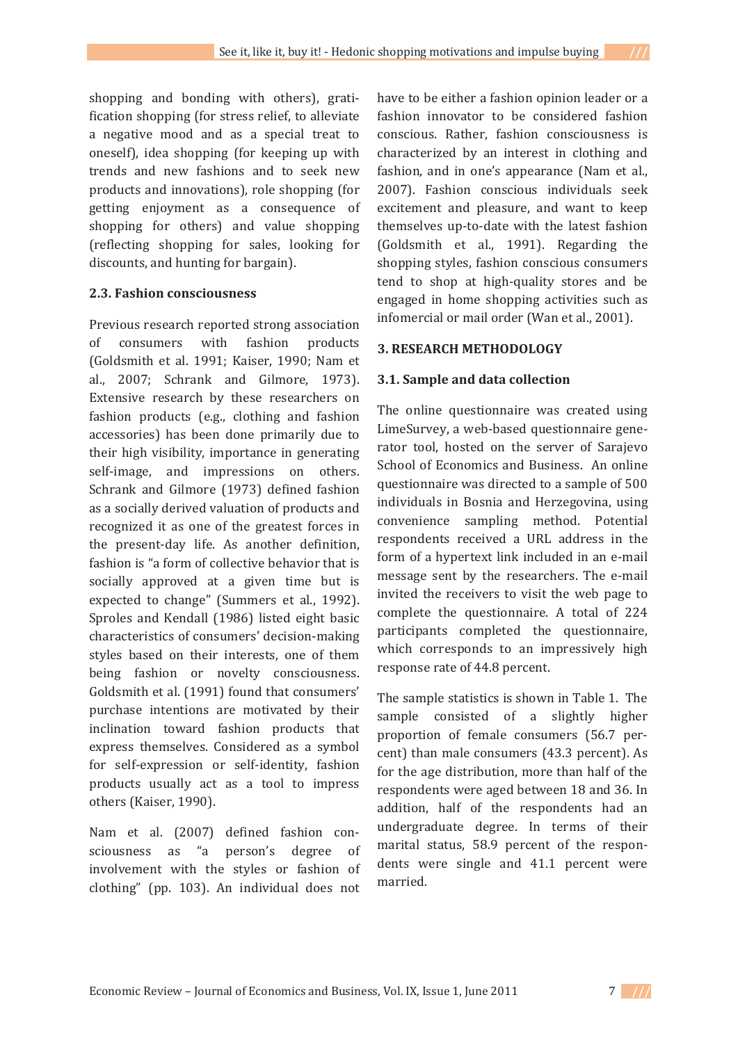shopping and bonding with others), gratification shopping (for stress relief, to alleviate a negative mood and as a special treat to oneself), idea shopping (for keeping up with trends and new fashions and to seek new products and innovations), role shopping (for getting enjoyment as a consequence of shopping for others) and value shopping (reflecting shopping for sales, looking for

# 2.3. Fashion consciousness

discounts, and hunting for bargain).

Previous research reported strong association of consumers with fashion products (Goldsmith et al. 1991; Kaiser, 1990; Nam et al., 2007; Schrank and Gilmore, 1973). Extensive research by these researchers on fashion products (e.g., clothing and fashion accessories) has been done primarily due to their high visibility, importance in generating self-image, and impressions on others. Schrank and Gilmore (1973) defined fashion as a socially derived valuation of products and recognized it as one of the greatest forces in the present-day life. As another definition. fashion is "a form of collective behavior that is socially approved at a given time but is expected to change" (Summers et al., 1992). Sproles and Kendall (1986) listed eight basic characteristics of consumers' decision-making styles based on their interests, one of them being fashion or novelty consciousness. Goldsmith et al. (1991) found that consumers' purchase intentions are motivated by their inclination toward fashion products that express themselves. Considered as a symbol for self-expression or self-identity, fashion products usually act as a tool to impress others (Kaiser, 1990).

Nam et al. (2007) defined fashion consciousness as "a person's degree of involvement with the styles or fashion of clothing" (pp. 103). An individual does not

have to be either a fashion opinion leader or a fashion innovator to be considered fashion conscious. Rather, fashion consciousness is characterized by an interest in clothing and fashion, and in one's appearance (Nam et al., 2007). Fashion conscious individuals seek excitement and pleasure, and want to keep themselves up-to-date with the latest fashion (Goldsmith et al., 1991). Regarding the shopping styles, fashion conscious consumers tend to shop at high-quality stores and be engaged in home shopping activities such as infomercial or mail order (Wan et al., 2001).

### **3. RESEARCH METHODOLOGY**

# 3.1. Sample and data collection

The online questionnaire was created using LimeSurvey, a web-based questionnaire generator tool, hosted on the server of Sarajevo School of Economics and Business. An online questionnaire was directed to a sample of 500 individuals in Bosnia and Herzegovina, using convenience sampling method. Potential respondents received a URL address in the form of a hypertext link included in an e-mail message sent by the researchers. The e-mail invited the receivers to visit the web page to complete the questionnaire. A total of 224 participants completed the questionnaire, which corresponds to an impressively high response rate of 44.8 percent.

The sample statistics is shown in Table 1. The sample consisted of a slightly higher proportion of female consumers (56.7 percent) than male consumers (43.3 percent). As for the age distribution, more than half of the respondents were aged between 18 and 36. In addition, half of the respondents had an undergraduate degree. In terms of their marital status, 58.9 percent of the respondents were single and 41.1 percent were married.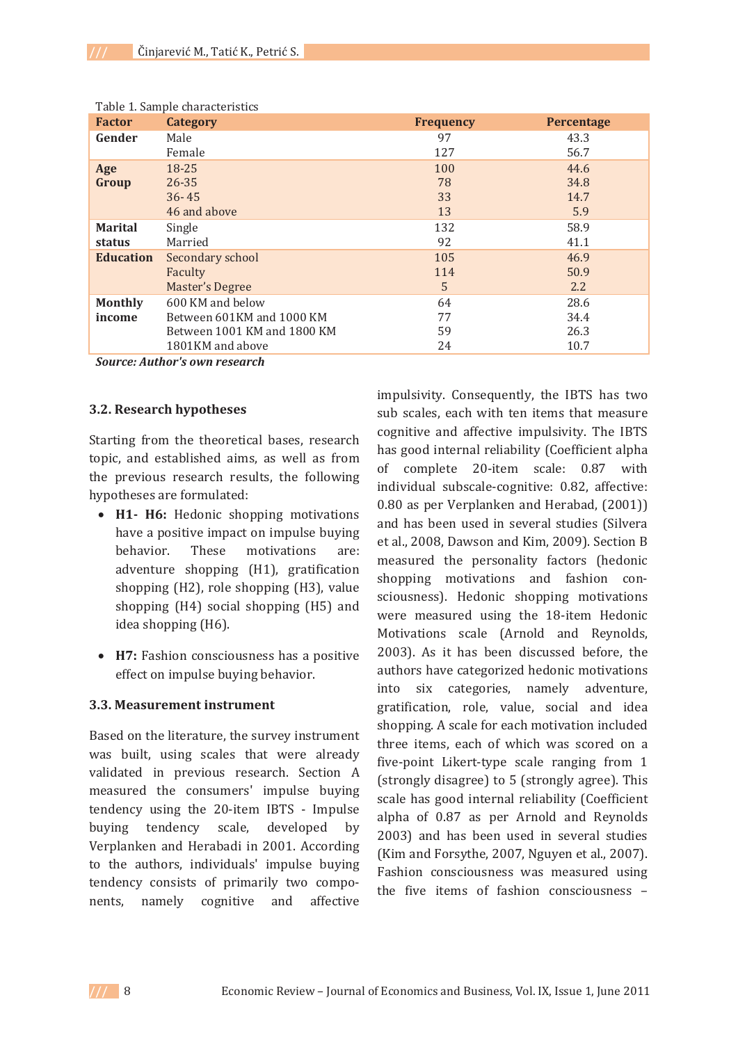| <b>Factor</b>    | Category                    | <b>Frequency</b> | <b>Percentage</b> |
|------------------|-----------------------------|------------------|-------------------|
| Gender           | Male                        | 97               | 43.3              |
|                  | Female                      | 127              | 56.7              |
| Age              | 18-25                       | 100              | 44.6              |
| Group            | $26 - 35$                   | 78               | 34.8              |
|                  | $36 - 45$                   | 33               | 14.7              |
|                  | 46 and above                | 13               | 5.9               |
| <b>Marital</b>   | Single                      | 132              | 58.9              |
| status           | Married                     | 92               | 41.1              |
| <b>Education</b> | Secondary school            | 105              | 46.9              |
|                  | Faculty                     | 114              | 50.9              |
|                  | Master's Degree             | 5                | $2.2^{\circ}$     |
| <b>Monthly</b>   | 600 KM and below            | 64               | 28.6              |
| income           | Between 601KM and 1000 KM   | 77               | 34.4              |
|                  | Between 1001 KM and 1800 KM | 59               | 26.3              |
|                  | 1801KM and above            | 24               | 10.7              |

Table 1 Sample characteristics

**Source: Author's own research** 

#### 3.2. Research hypotheses

Starting from the theoretical bases, research topic, and established aims, as well as from the previous research results, the following hypotheses are formulated:

- H1- H6: Hedonic shopping motivations have a positive impact on impulse buying behavior. These motivations are: adventure shopping (H1), gratification shopping (H2), role shopping (H3), value shopping (H4) social shopping (H5) and idea shopping (H6).
- H7: Fashion consciousness has a positive effect on impulse buying behavior.

### 3.3. Measurement instrument

Based on the literature, the survey instrument was built, using scales that were already validated in previous research. Section A measured the consumers' impulse buying tendency using the 20-item IBTS - Impulse buying tendency scale, developed by Verplanken and Herabadi in 2001. According to the authors, individuals' impulse buying tendency consists of primarily two components, namely cognitive and affective

impulsivity. Consequently, the IBTS has two sub scales, each with ten items that measure cognitive and affective impulsivity. The IBTS has good internal reliability (Coefficient alpha of complete 20-item scale: 0.87 with individual subscale-cognitive: 0.82, affective: 0.80 as per Verplanken and Herabad, (2001)) and has been used in several studies (Silvera et al., 2008, Dawson and Kim, 2009). Section B measured the personality factors (hedonic shopping motivations and fashion consciousness). Hedonic shopping motivations were measured using the 18-item Hedonic Motivations scale (Arnold and Reynolds, 2003). As it has been discussed before, the authors have categorized hedonic motivations into six categories, namely adventure, gratification, role, value, social and idea shopping. A scale for each motivation included three items, each of which was scored on a five-point Likert-type scale ranging from 1 (strongly disagree) to 5 (strongly agree). This scale has good internal reliability (Coefficient alpha of 0.87 as per Arnold and Reynolds 2003) and has been used in several studies (Kim and Forsythe, 2007, Nguyen et al., 2007). Fashion consciousness was measured using the five items of fashion consciousness -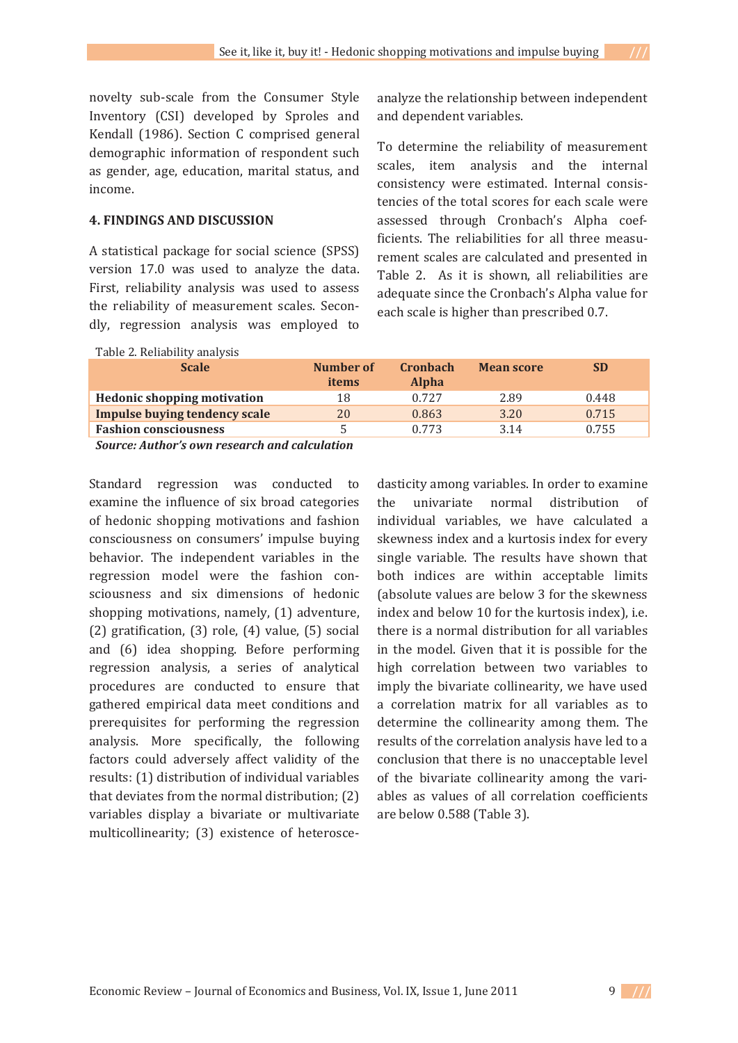novelty sub-scale from the Consumer Style Inventory (CSI) developed by Sproles and Kendall (1986). Section C comprised general demographic information of respondent such as gender, age, education, marital status, and income.

#### **4. FINDINGS AND DISCUSSION**

A statistical package for social science (SPSS) version 17.0 was used to analyze the data. First, reliability analysis was used to assess the reliability of measurement scales. Secondly, regression analysis was employed to

analyze the relationship between independent and dependent variables.

To determine the reliability of measurement scales, item analysis and the internal consistency were estimated. Internal consistencies of the total scores for each scale were assessed through Cronbach's Alpha coefficients. The reliabilities for all three measurement scales are calculated and presented in Table 2. As it is shown, all reliabilities are adequate since the Cronbach's Alpha value for each scale is higher than prescribed 0.7.

| Table 2. Reliability analysis        |                    |                                 |                   |           |  |
|--------------------------------------|--------------------|---------------------------------|-------------------|-----------|--|
| <b>Scale</b>                         | Number of<br>items | <b>Cronbach</b><br><b>Alpha</b> | <b>Mean score</b> | <b>SD</b> |  |
| <b>Hedonic shopping motivation</b>   | 18                 | 0.727                           | 2.89              | 0.448     |  |
| <b>Impulse buying tendency scale</b> | 20                 | 0.863                           | 3.20              | 0.715     |  |
| <b>Fashion consciousness</b>         | 5                  | 0.773                           | 3.14              | 0.755     |  |
| $\sim$ $\sim$ $\sim$ $\sim$          |                    |                                 |                   |           |  |

Source: Author's own research and calculation

Standard regression was conducted to examine the influence of six broad categories of hedonic shopping motivations and fashion consciousness on consumers' impulse buying behavior. The independent variables in the regression model were the fashion consciousness and six dimensions of hedonic shopping motivations, namely, (1) adventure, (2) gratification, (3) role, (4) value, (5) social and (6) idea shopping. Before performing regression analysis, a series of analytical procedures are conducted to ensure that gathered empirical data meet conditions and prerequisites for performing the regression analysis. More specifically, the following factors could adversely affect validity of the results: (1) distribution of individual variables that deviates from the normal distribution; (2) variables display a bivariate or multivariate multicollinearity; (3) existence of heteroscedasticity among variables. In order to examine univariate normal distribution the  $\alpha$ f individual variables, we have calculated a skewness index and a kurtosis index for every single variable. The results have shown that both indices are within acceptable limits (absolute values are below 3 for the skewness index and below 10 for the kurtosis index), i.e. there is a normal distribution for all variables in the model. Given that it is possible for the high correlation between two variables to imply the bivariate collinearity, we have used a correlation matrix for all variables as to determine the collinearity among them. The results of the correlation analysis have led to a conclusion that there is no unacceptable level of the bivariate collinearity among the variables as values of all correlation coefficients are below 0.588 (Table 3).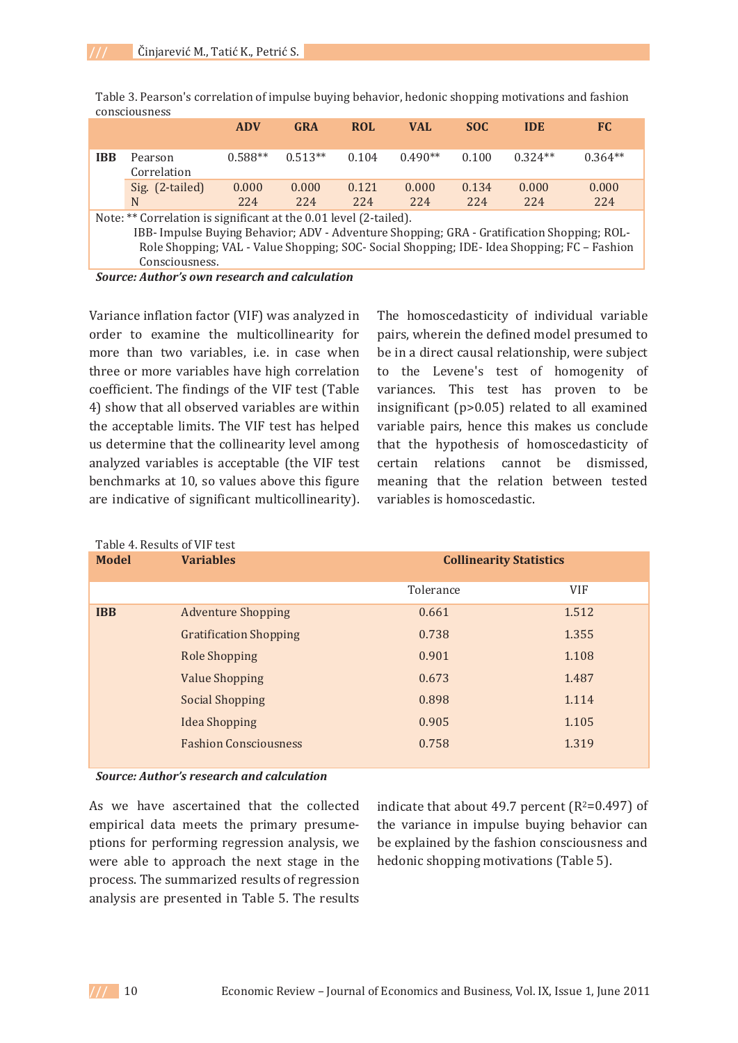|                                                                                                                                                                                                                                                                                  |                        | <b>ADV</b>   | <b>GRA</b>   | <b>ROL</b>   | <b>VAL</b>     | <b>SOC</b>   | <b>IDE</b>   | FC.          |
|----------------------------------------------------------------------------------------------------------------------------------------------------------------------------------------------------------------------------------------------------------------------------------|------------------------|--------------|--------------|--------------|----------------|--------------|--------------|--------------|
| <b>IBB</b>                                                                                                                                                                                                                                                                       | Pearson<br>Correlation | $0.588**$    | $0.513**$    | 0.104        | $0.490**$      | 0.100        | $0.324**$    | $0.364**$    |
|                                                                                                                                                                                                                                                                                  | Sig. (2-tailed)<br>N   | 0.000<br>224 | 0.000<br>224 | 0.121<br>224 | 0.000<br>2.2.4 | 0.134<br>224 | 0.000<br>224 | 0.000<br>224 |
| Note: ** Correlation is significant at the 0.01 level (2-tailed).<br>IBB- Impulse Buying Behavior; ADV - Adventure Shopping; GRA - Gratification Shopping; ROL-<br>Role Shopping; VAL - Value Shopping; SOC- Social Shopping; IDE- Idea Shopping; FC - Fashion<br>Consciousness. |                        |              |              |              |                |              |              |              |

Table 3. Pearson's correlation of impulse buying behavior, hedonic shopping motivations and fashion consciousness

**Source: Author's own research and calculation** 

Variance inflation factor (VIF) was analyzed in order to examine the multicollinearity for more than two variables, i.e. in case when three or more variables have high correlation coefficient. The findings of the VIF test (Table 4) show that all observed variables are within the acceptable limits. The VIF test has helped us determine that the collinearity level among analyzed variables is acceptable (the VIF test benchmarks at 10, so values above this figure are indicative of significant multicollinearity). The homoscedasticity of individual variable pairs, wherein the defined model presumed to be in a direct causal relationship, were subject to the Levene's test of homogenity of variances. This test has proven to be insignificant (p>0.05) related to all examined variable pairs, hence this makes us conclude that the hypothesis of homoscedasticity of certain relations cannot be dismissed, meaning that the relation between tested variables is homoscedastic.

| <b>Model</b> | <b>Variables</b>              | <b>Collinearity Statistics</b> |            |  |
|--------------|-------------------------------|--------------------------------|------------|--|
|              |                               | Tolerance                      | <b>VIF</b> |  |
| <b>IBB</b>   | <b>Adventure Shopping</b>     | 0.661                          | 1.512      |  |
|              | <b>Gratification Shopping</b> | 0.738                          | 1.355      |  |
|              | <b>Role Shopping</b>          | 0.901                          | 1.108      |  |
|              | <b>Value Shopping</b>         | 0.673                          | 1.487      |  |
|              | <b>Social Shopping</b>        | 0.898                          | 1.114      |  |
|              | <b>Idea Shopping</b>          | 0.905                          | 1.105      |  |
|              | <b>Fashion Consciousness</b>  | 0.758                          | 1.319      |  |

# $Table 4$  Decults of  $MPL$

**Source: Author's research and calculation** 

As we have ascertained that the collected empirical data meets the primary presumeptions for performing regression analysis, we were able to approach the next stage in the process. The summarized results of regression analysis are presented in Table 5. The results indicate that about 49.7 percent ( $R^2=0.497$ ) of the variance in impulse buying behavior can be explained by the fashion consciousness and hedonic shopping motivations (Table 5).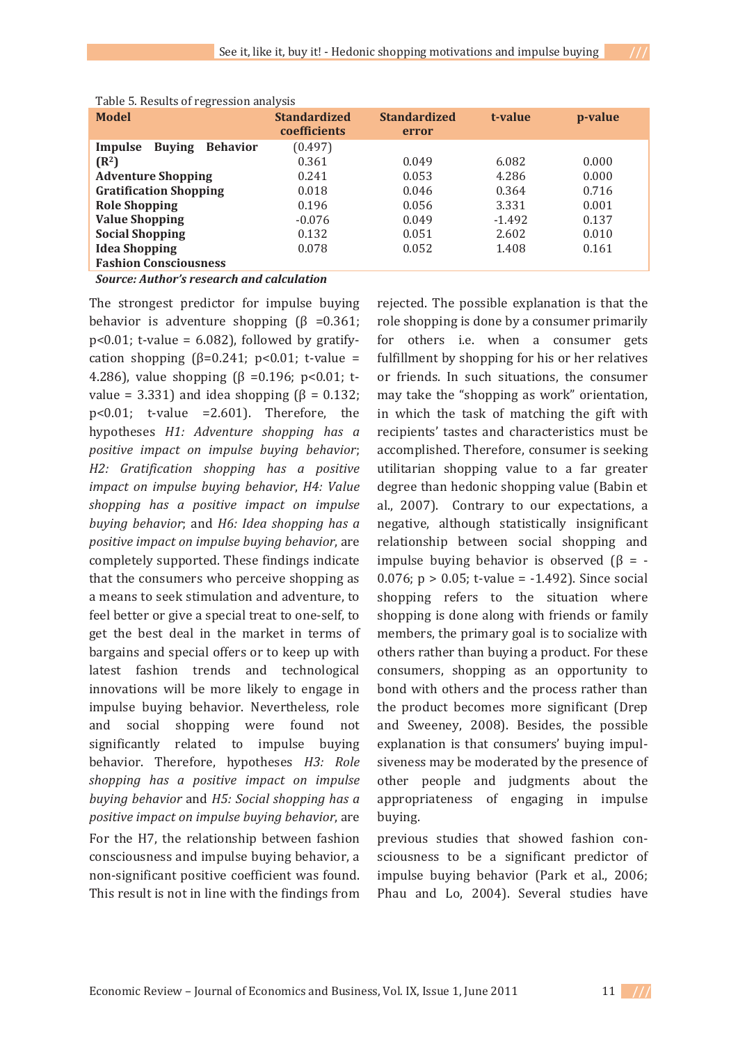| Table 5. Results of regression and you           |                                            |                              |          |         |  |
|--------------------------------------------------|--------------------------------------------|------------------------------|----------|---------|--|
| <b>Model</b>                                     | <b>Standardized</b><br><b>coefficients</b> | <b>Standardized</b><br>error | t-value  | p-value |  |
| Behavior<br>Impulse<br><b>Buying</b>             | (0.497)                                    |                              |          |         |  |
| $(R^2)$                                          | 0.361                                      | 0.049                        | 6.082    | 0.000   |  |
| <b>Adventure Shopping</b>                        | 0.241                                      | 0.053                        | 4.286    | 0.000   |  |
| <b>Gratification Shopping</b>                    | 0.018                                      | 0.046                        | 0.364    | 0.716   |  |
| <b>Role Shopping</b>                             | 0.196                                      | 0.056                        | 3.331    | 0.001   |  |
| <b>Value Shopping</b>                            | $-0.076$                                   | 0.049                        | $-1.492$ | 0.137   |  |
| <b>Social Shopping</b>                           | 0.132                                      | 0.051                        | 2.602    | 0.010   |  |
| <b>Idea Shopping</b>                             | 0.078                                      | 0.052                        | 1.408    | 0.161   |  |
| <b>Fashion Consciousness</b>                     |                                            |                              |          |         |  |
| <b>Source: Author's research and calculation</b> |                                            |                              |          |         |  |

|  | Table 5. Results of regression analysis |  |
|--|-----------------------------------------|--|

The strongest predictor for impulse buying The strongest predictor for impulse buying<br>behavior is adventure shopping  $(\beta = 0.361)$ ;  $p \le 0.01$ ; t-value = 6.082), followed by gratify- $\mu$  solot, evaluate = 0.002), followed by grainy<br>cation shopping ( $\beta$ =0.241; p<0.01; t-value = eation shopping ( $p = 0.2$  11,  $p = 0.01$ , c value  $=$  4.286), value shopping ( $\beta = 0.196$ ; p<0.01; tvalue = 3.331) and idea shopping  $(\beta = 0.132)$ ;  $p < 0.01$ ; t-value = 2.601). Therefore, the  $P^{+0.01}$ , i *H1: Adventure shopping has a positive impact on impulse buying behavior*; *H2:- Gratification- shopping- has- a- positive impact on impulse buying-behavior, H4: Valueshopping- has- a- positive- impact- on- impulse buying-behavior*; and *H6: Idea shopping-has-apositive-impact-on-impulse-buying-behavior* positive impact on impact *baying* behavior, are<br>completely supported. These findings indicate Example Equipment of the consumers who perceive shopping as a means to seek stimulation and adventure, to a means to seek summation and adventure, to<br>feel better or give a special treat to one-self, to  $\frac{1}{2}$  and  $\frac{1}{2}$  are the set deal in the market in terms of bargains and special offers or to keep up with bargains and special offers of to keep up with<br>latest fashion trends and technological innovations will be more likely to engage in impulse buying behavior. Nevertheless, role and social shopping were found not and social shopping were found not<br>significantly related to impulse buying behavior. Therefore, hypotheses *H3: Role*<br> **behavior. Therefore, hypotheses** *H3: Role shopping- has- a- positive- impact- on- impulse buying-behavior* and *H5: Social shopping has a positive impact on impulse buying behavior*, are buying. For the H7, the relationship between fashion consciousness and impulse buying behavior, a consciousness and impulse buying behavior, a<br>non-significant positive coefficient was found. This result is not in line with the findings from

rejected. The possible explanation is that the referred. The possible explanation is that the<br>role shopping is done by a consumer primarily for others i.e. when a consumer gets fulfillment by shopping for his or her relatives or friends. In such situations, the consumer or menas. In such situations, the consumer<br>may take the "shopping as work" orientation, in which the task of matching the gift with In which the task of matering the gift with<br>recipients' tastes and characteristics must be accomplished. Therefore, consumer is seeking accomposition. Therefore, consumer is seeking<br>utilitarian shopping value to a far greater degree than hedonic shopping value (Babin et al, 2007). Contrary to our expectations, a  $\alpha$ ,  $\alpha$ ,  $\beta$ ,  $\beta$ ,  $\beta$ ,  $\alpha$ ,  $\alpha$ ,  $\beta$ ,  $\beta$ ,  $\alpha$ ,  $\alpha$ ,  $\beta$ ,  $\alpha$ ,  $\alpha$ ,  $\alpha$ ,  $\beta$ ,  $\alpha$ ,  $\alpha$ ,  $\alpha$ ,  $\alpha$ ,  $\alpha$ ,  $\alpha$ ,  $\alpha$ ,  $\alpha$ ,  $\alpha$ ,  $\alpha$ ,  $\alpha$ ,  $\alpha$ ,  $\alpha$ ,  $\alpha$ ,  $\alpha$ ,  $\alpha$ ,  $\alpha$ ,  $\alpha$ ,  $\alpha$ ,  $\alpha$ ,  $\alpha$ , relationship between social shopping and  $\mu$  impulse buying behavior is observed  $\beta$  = mpasse baying behavior is observed ( $p = 0.076$ :  $p > 0.05$ : t-value = -1.492). Since social shopping refers to the situation where shopping is done along with friends or family shopping is done drong with friends of family<br>members, the primary goal is to socialize with others rather than buying a product. For these consumers, shopping as an opportunity to bond with others and the process rather than bond with others and the process rather than<br>the product becomes more significant (Drep and Sweeney, 2008). Besides, the possible explanation is that consumers' buying impulsiveness may be moderated by the presence of other people and judgments about the other people and judgments about the<br>appropriateness of engaging in impulse

 $\frac{1}{2}$  b  $\frac{1}{2}$  or studies that showed fashion conprevious statics that showed historical<br>sciousness to be a significant predictor of impulse buying behavior (Park et al., 2006;  $\mu$  and  $\mu$  2004). Several studies have

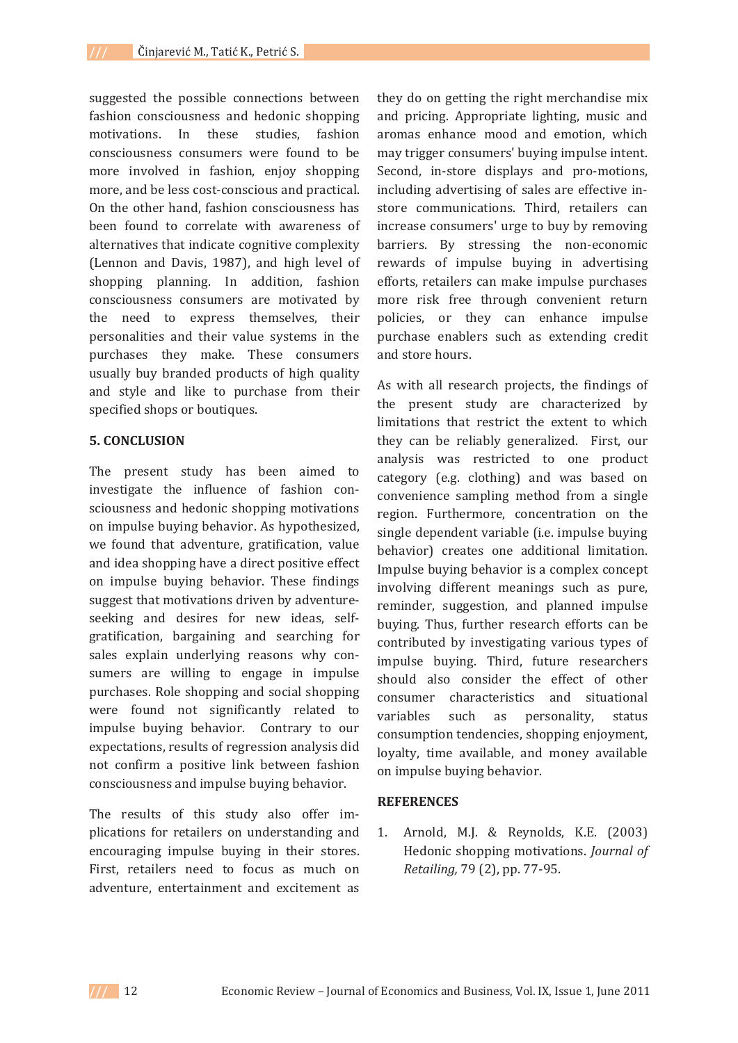suggested the possible connections between fashion consciousness and hedonic shopping motivations. In these studies. fashion consciousness consumers were found to be more involved in fashion, enjoy shopping more, and be less cost-conscious and practical. On the other hand, fashion consciousness has been found to correlate with awareness of alternatives that indicate cognitive complexity (Lennon and Davis, 1987), and high level of shopping planning. In addition, fashion consciousness consumers are motivated by the need to express themselves, their personalities and their value systems in the purchases they make. These consumers usually buy branded products of high quality and style and like to purchase from their specified shops or boutiques.

#### **5. CONCLUSION**

The present study has been aimed to investigate the influence of fashion consciousness and hedonic shopping motivations on impulse buying behavior. As hypothesized, we found that adventure, gratification, value and idea shopping have a direct positive effect on impulse buying behavior. These findings suggest that motivations driven by adventureseeking and desires for new ideas, selfgratification, bargaining and searching for sales explain underlying reasons why consumers are willing to engage in impulse purchases. Role shopping and social shopping were found not significantly related to impulse buying behavior. Contrary to our expectations, results of regression analysis did not confirm a positive link between fashion consciousness and impulse buying behavior.

The results of this study also offer implications for retailers on understanding and encouraging impulse buying in their stores. First, retailers need to focus as much on adventure, entertainment and excitement as

they do on getting the right merchandise mix and pricing. Appropriate lighting, music and aromas enhance mood and emotion, which may trigger consumers' buying impulse intent. Second, in-store displays and pro-motions, including advertising of sales are effective instore communications. Third, retailers can increase consumers' urge to buy by removing barriers. By stressing the non-economic rewards of impulse buying in advertising efforts, retailers can make impulse purchases more risk free through convenient return policies, or they can enhance impulse purchase enablers such as extending credit and store hours.

As with all research projects, the findings of the present study are characterized by limitations that restrict the extent to which they can be reliably generalized. First, our analysis was restricted to one product category (e.g. clothing) and was based on convenience sampling method from a single region. Furthermore, concentration on the single dependent variable (i.e. impulse buying behavior) creates one additional limitation. Impulse buying behavior is a complex concept involving different meanings such as pure, reminder, suggestion, and planned impulse buying. Thus, further research efforts can be contributed by investigating various types of impulse buying. Third, future researchers should also consider the effect of other consumer characteristics and situational variables such as personality, status consumption tendencies, shopping enjoyment, loyalty, time available, and money available on impulse buying behavior.

### **REFERENCES**

Arnold, M.J. & Reynolds, K.E. (2003) 1. Hedonic shopping motivations. Journal of Retailing, 79 (2), pp. 77-95.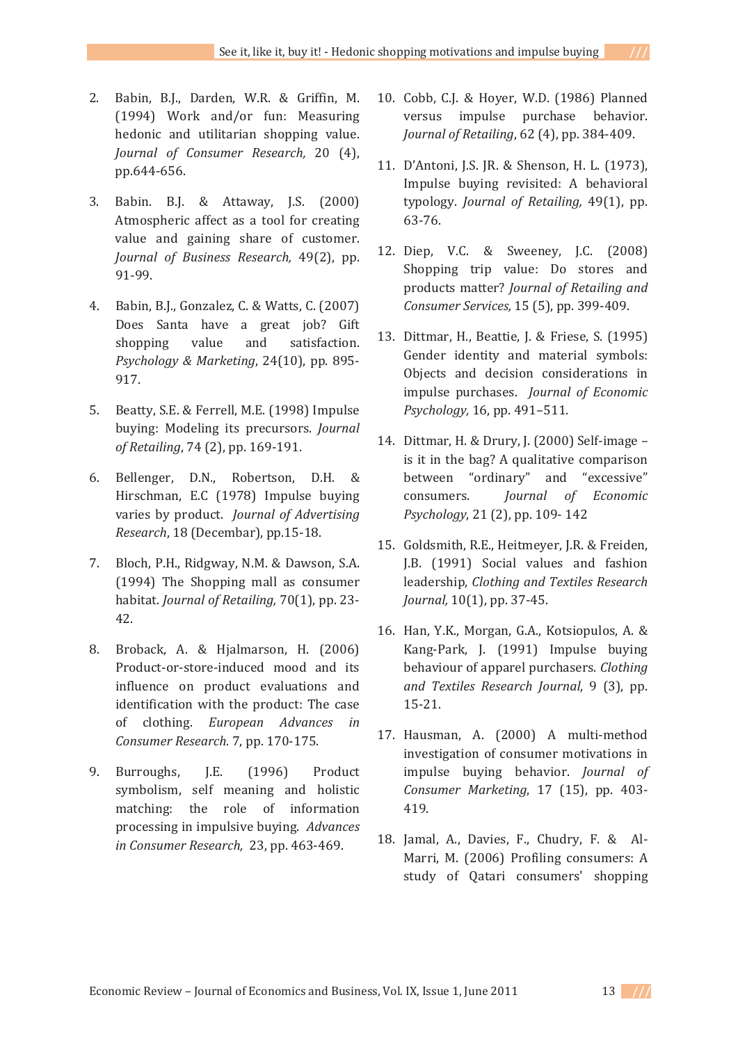- 2. Babin, B.J., Darden, W.R. & Griffin, M.  $20, 6, 6, 9, 9, 9$  barden, with  $\alpha$  drims,  $\beta$ .  $(1, 2, 1)$  work and  $(0, 1)$  and  $(1, 2)$  ,  $(0, 1)$  ,  $(0, 1)$  ,  $(0, 1)$  ,  $(0, 1)$  ,  $(0, 1)$  ,  $(0, 1)$  ,  $(0, 1)$  ,  $(0, 1)$  ,  $(0, 1)$  ,  $(0, 1)$  ,  $(0, 1)$  ,  $(0, 1)$  ,  $(0, 1)$  ,  $(0, 1)$  ,  $(0, 1)$  ,  $(0, 1)$  , *Journal of Consumer-Research, 20 (4),* ,0arnar 0,<br>pp.644-656.
- 3. Babin. B.J. & Attaway, J.S. (2000)  $B_{11}$ ,  $B_{21}$ ,  $C_{22}$ ,  $D_{12}$ ,  $D_{23}$ ,  $D_{24}$ ,  $D_{25}$ ,  $D_{26}$ ,  $D_{27}$ ,  $D_{28}$ ,  $D_{29}$ ,  $D_{20}$ ,  $D_{21}$ ,  $D_{22}$ ,  $D_{23}$ ,  $D_{24}$ ,  $D_{25}$ ,  $D_{26}$ remospheric ancet as a tool for creating<br>value and gaining share of customer. *Journal of Business Research, 49(2), pp.* ,0ur.nu.<br>91-99.
- 4. Babin, B.J., Gonzalez, C. & Watts, C. (2007) babili, b.j., donzalez, c. & wates, c. (2007)<br>Does Santa have a great job? Gift  $\frac{1}{2}$  boes band have a great job. and<br>shopping value and satisfaction. *Psychology & Marketing*, 24(10), pp. 895-917.
- 5. Beatty, S.E. & Ferrell, M.E. (1998) Impulse  $\frac{1}{2}$  beatty, b.d.  $\alpha$  i error, m.d.  $(1220)$  *Journal of Retailing, 74 (2), pp. 169-191.*
- 6. Bellenger, D.N., Robertson, D.H. & Benenger, Bini, Robertson, Bini &<br>Hirschman, E.C (1978) Impulse buying realistics by product. *Journal of Advertising Research,* 18 (Decembar), pp.15-18.
- 7. Bloch, P.H., Ridgway, N.M. & Dawson, S.A.  $(1994)$  The Shopping mall as consumer *(1994)* The shopping man<br>habitat. Journal of Retailing,  $70(1)$ , pp. 23nav<br>42.
- 8. Broback, A. & Hjalmarson, H. (2006) Broback, *T. & Hammarson*, *H. (2000)*<br>Product-or-store-induced mood and its influence on product evaluations and identification with the product: The case rachtmeation<br>of clothing. European *Advances* in *Consumer-Research. 7, pp. 170-175.*
- 9. Burroughs. I.  $LE.$  $(1996)$  Product burroughts, j.u. (1990) roduct by mothing: the role of information matering. The 1912 of miorination<br>processing in impulsive buying. *Advances in Consumer Research,* 23, pp. 463-469.
- 10. Cobb, C.J. & Hoyer, W.D. (1986) Planned  $\frac{1}{2}$   $\frac{1}{2}$   $\frac{1}{2}$   $\frac{1}{2}$   $\frac{1}{2}$   $\frac{1}{2}$   $\frac{1}{2}$   $\frac{1}{2}$   $\frac{1}{2}$   $\frac{1}{2}$   $\frac{1}{2}$   $\frac{1}{2}$   $\frac{1}{2}$   $\frac{1}{2}$   $\frac{1}{2}$   $\frac{1}{2}$   $\frac{1}{2}$   $\frac{1}{2}$   $\frac{1}{2}$   $\frac{1}{2}$   $\frac{1}{2}$   $\frac{1}{2}$  *Journal of Retailing, 62 (4), pp. 384-409.*
- 11. D'Antoni, J.S. JR. & Shenson, H. L. (1973),  $\mu$  music,  $\mu$  a sign of  $\mu$ . In  $\mu$  (1998), Impulse buying revisited: A behavioral &+-.+gy. *Journal of Retailing,* 49(1), pp. بەنەب<br>63-76.
- 12. Diep, V.C. & Sweeney, J.C. (2008) Shopping trip value: Do stores and products matter? *Journal of Retailing and Consumer-Services,*ournar of Retailing a
- 13. Dittmar, H., Beattie, J. & Friese, S. (1995) G & &+ & +/I denact factory and material symbols.<br>Objects and decision considerations in impulse purchases. *Journal of Economic Psychology,-*16, pp. 491–511.
- 14. Dittmar, H. & Drury, J. (2000) Self-image - $\frac{1}{2}$  is it in the bag? A qualitative comparison between "ordinary" and "excessive"<br>consumers. *Iournal of Economic Journal- of- Economic- Psychology*, 21 (2), pp. 109-142
- 15. Goldsmith, R.E., Heitmeyer, J.R. & Freiden, doldsmith, R.E., Hertheyer, J.R. & Freiden,<br>I.B. (1991) Social values and fashion *Clothing and Textiles Research*<br> *Readership, Clothing and Textiles Research Journal,*np, cloching and<br>10(1), pp. 37-45.
- 16. Han, Y.K., Morgan, G.A., Kotsiopulos, A. & nan, n.n., norgan, ann, notslopaios, n. a<br>Kang-Park, J. (1991) Impulse buying he call the control of apparel purchasers. *Clothing and-Textiles-Research Journal*, 9 (3), pp.  $\frac{444}{15-21}$
- 17. Hausman, A. (2000) A multi-method  $\frac{1}{4}$  investigation of consumer motivations in mvestigation of consumer in<br>impulse buving behavior. *Journal- of- Consumer-Marketing*, 17 (15), pp. 403- $\frac{1}{419}$ .
- 18. Jamal, A., Davies, F., Chudry, F. & Al-Jamar, *T., Bavies, T.*, Ghaary, T. & T.<br>Marri, M. (2006) Profiling consumers: A study of Qatari consumers' shopping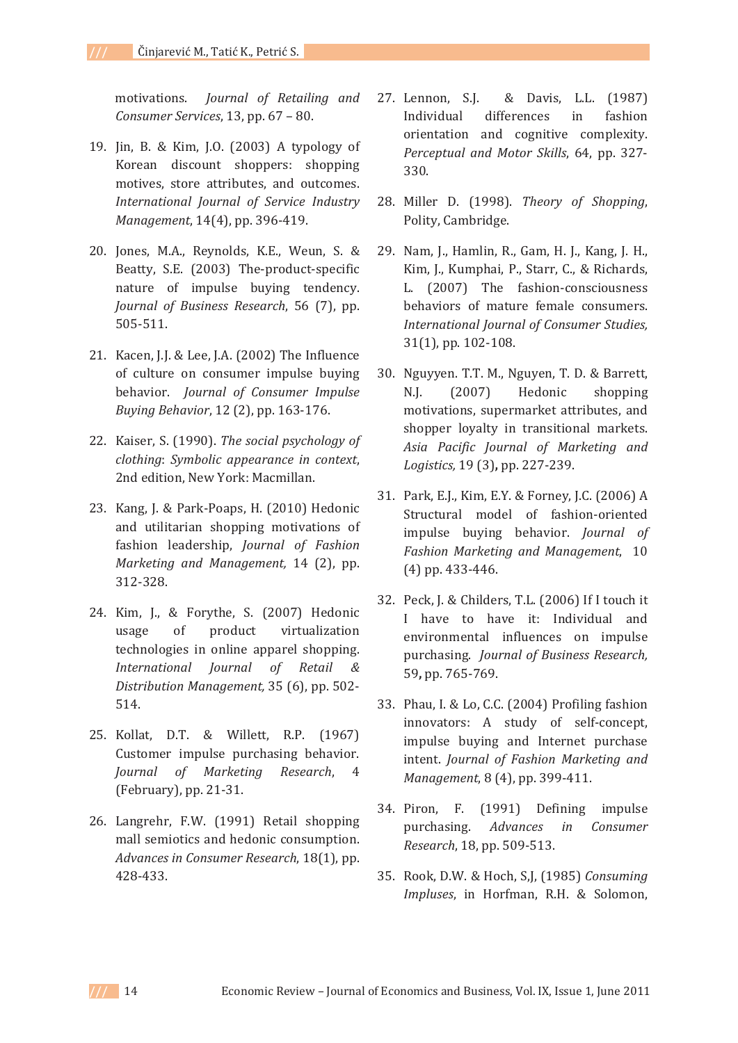Journal of Retailing and motivations. Consumer Services, 13, pp. 67 - 80.

- 19. Jin, B. & Kim, J.O. (2003) A typology of Korean discount shoppers: shopping motives, store attributes, and outcomes. International Journal of Service Industry Management, 14(4), pp. 396-419.
- 20. Jones, M.A., Reynolds, K.E., Weun, S. & Beatty, S.E. (2003) The-product-specific nature of impulse buying tendency. Journal of Business Research, 56 (7), pp. 505-511.
- 21. Kacen, J.J. & Lee, J.A. (2002) The Influence of culture on consumer impulse buying behavior. Journal of Consumer Impulse Buying Behavior, 12 (2), pp. 163-176.
- 22. Kaiser, S. (1990). The social psychology of clothing: Symbolic appearance in context, 2nd edition, New York: Macmillan.
- 23. Kang, J. & Park-Poaps, H. (2010) Hedonic and utilitarian shopping motivations of fashion leadership, Journal of Fashion Marketing and Management, 14 (2), pp. 312-328.
- 24. Kim, J., & Forythe, S. (2007) Hedonic usage of product virtualization technologies in online apparel shopping. International Journal of Retail  $\&$ Distribution Management, 35 (6), pp. 502-514.
- 25. Kollat, D.T. & Willett, R.P. (1967) Customer impulse purchasing behavior. Journal of Marketing Research,  $\overline{4}$ (February), pp. 21-31.
- 26. Langrehr, F.W. (1991) Retail shopping mall semiotics and hedonic consumption. Advances in Consumer Research, 18(1), pp. 428-433.
- & Davis, L.L. (1987) 27. Lennon, S.J. Individual differences in fashion orientation and cognitive complexity. Perceptual and Motor Skills, 64, pp. 327-330.
- 28. Miller D. (1998). Theory of Shopping, Polity, Cambridge.
- 29. Nam, J., Hamlin, R., Gam, H. J., Kang, J. H., Kim, J., Kumphai, P., Starr, C., & Richards, L. (2007) The fashion-consciousness behaviors of mature female consumers. International Journal of Consumer Studies, 31(1), pp. 102-108.
- 30. Nguyyen. T.T. M., Nguyen, T. D. & Barrett,  $(2007)$ Hedonic  $N.I.$ shopping motivations, supermarket attributes, and shopper loyalty in transitional markets. Asia Pacific Journal of Marketing and Logistics, 19 (3), pp. 227-239.
- 31. Park, E.J., Kim, E.Y. & Forney, J.C. (2006) A Structural model of fashion-oriented impulse buying behavior. Journal of Fashion Marketing and Management, 10 (4) pp. 433-446.
- 32. Peck, J. & Childers, T.L. (2006) If I touch it I have to have it: Individual and environmental influences on impulse purchasing. Journal of Business Research, 59, pp. 765-769.
- 33. Phau, I. & Lo, C.C. (2004) Profiling fashion innovators: A study of self-concept, impulse buying and Internet purchase intent. Journal of Fashion Marketing and Management, 8 (4), pp. 399-411.
- 34. Piron, F. (1991) Defining impulse purchasing. Advances  $in$ Consumer Research, 18, pp. 509-513.
- 35. Rook, D.W. & Hoch, S.J. (1985) Consuming Impluses, in Horfman, R.H. & Solomon,